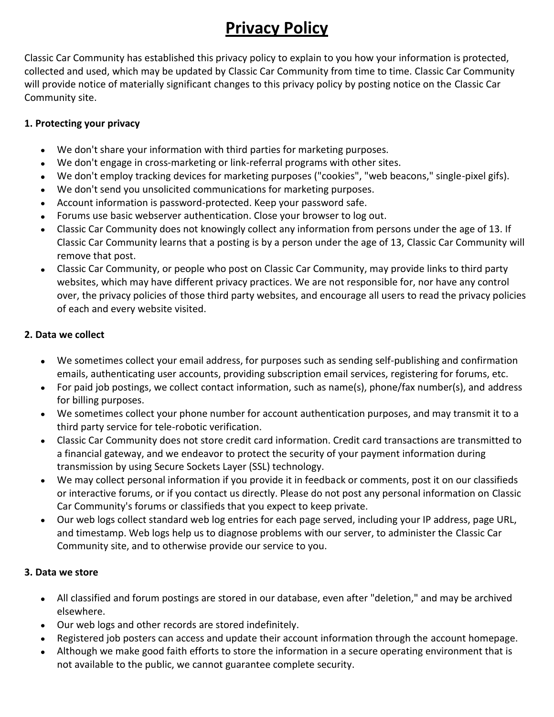# **Privacy Policy**

Classic Car Community has established this privacy policy to explain to you how your information is protected, collected and used, which may be updated by Classic Car Community from time to time. Classic Car Community will provide notice of materially significant changes to this privacy policy by posting notice on the Classic Car Community site.

## **1. Protecting your privacy**

- We don't share your information with third parties for marketing purposes.  $\bullet$
- We don't engage in cross-marketing or link-referral programs with other sites.
- We don't employ tracking devices for marketing purposes ("cookies", "web beacons," single-pixel gifs).
- We don't send you unsolicited communications for marketing purposes.
- Account information is password-protected. Keep your password safe.  $\bullet$
- Forums use basic webserver authentication. Close your browser to log out.  $\bullet$
- Classic Car Community does not knowingly collect any information from persons under the age of 13. If  $\bullet$ Classic Car Community learns that a posting is by a person under the age of 13, Classic Car Community will remove that post.
- Classic Car Community, or people who post on Classic Car Community, may provide links to third party  $\bullet$ websites, which may have different privacy practices. We are not responsible for, nor have any control over, the privacy policies of those third party websites, and encourage all users to read the privacy policies of each and every website visited.

# **2. Data we collect**

- We sometimes collect your email address, for purposes such as sending self-publishing and confirmation emails, authenticating user accounts, providing subscription email services, registering for forums, etc.
- For paid job postings, we collect contact information, such as name(s), phone/fax number(s), and address for billing purposes.
- We sometimes collect your phone number for account authentication purposes, and may transmit it to a third party service for tele-robotic verification.
- Classic Car Community does not store credit card information. Credit card transactions are transmitted to  $\bullet$ a financial gateway, and we endeavor to protect the security of your payment information during transmission by using Secure Sockets Layer (SSL) technology.
- We may collect personal information if you provide it in feedback or comments, post it on our classifieds  $\bullet$ or interactive forums, or if you contact us directly. Please do not post any personal information on Classic Car Community's forums or classifieds that you expect to keep private.
- Our web logs collect standard web log entries for each page served, including your IP address, page URL, and timestamp. Web logs help us to diagnose problems with our server, to administer the Classic Car Community site, and to otherwise provide our service to you.

# **3. Data we store**

- All classified and forum postings are stored in our database, even after "deletion," and may be archived elsewhere.
- Our web logs and other records are stored indefinitely.
- Registered job posters can access and update their account information through the account homepage.  $\bullet$
- Although we make good faith efforts to store the information in a secure operating environment that is  $\bullet$ not available to the public, we cannot guarantee complete security.